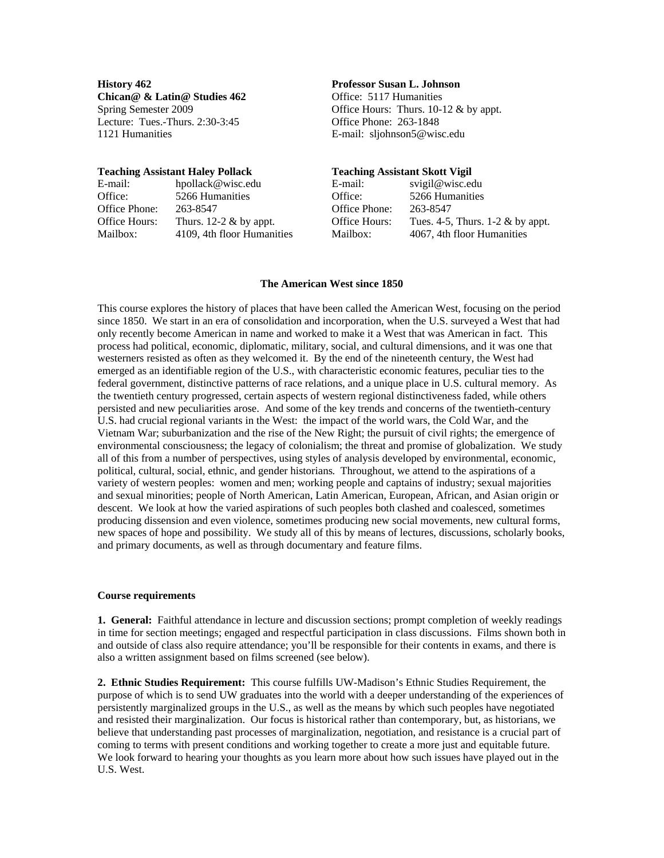**History 462 Professor Susan L. Johnson Chican@ & Latin@ Studies 462** Office: 5117 Humanities Lecture: Tues.-Thurs. 2:30-3:45 Office Phone: 263-1848 1121 Humanities E-mail: [sljohnson5@wisc.edu](mailto:sljohnson5@wisc.edu) 

#### **Teaching Assistant Haley Pollack Teaching Assistant Skott Vigil**

| E-mail:       | hpollack@wisc.edu         |
|---------------|---------------------------|
| Office:       | 5266 Humanities           |
| Office Phone: | 263-8547                  |
| Office Hours: | Thurs. 12-2 $\&$ by appt. |
| Mailbox:      | 4109, 4th floor Humanit   |

Spring Semester 2009 **Office Hours:** Thurs. 10-12 & by appt.

# E-mail: [svigil@wisc.edu](mailto:svigil@wisc.edu) <br>Office: 5266 Humanities 5266 Humanities Office Phone: 263-8547 Office Hours: Tues. 4-5, Thurs.  $1-2 \& b$  by appt. Mailbox: 4109, 4th floor Humanities Mailbox: 4067, 4th floor Humanities

#### **The American West since 1850**

This course explores the history of places that have been called the American West, focusing on the period since 1850. We start in an era of consolidation and incorporation, when the U.S. surveyed a West that had only recently become American in name and worked to make it a West that was American in fact. This process had political, economic, diplomatic, military, social, and cultural dimensions, and it was one that westerners resisted as often as they welcomed it. By the end of the nineteenth century, the West had emerged as an identifiable region of the U.S., with characteristic economic features, peculiar ties to the federal government, distinctive patterns of race relations, and a unique place in U.S. cultural memory. As the twentieth century progressed, certain aspects of western regional distinctiveness faded, while others persisted and new peculiarities arose. And some of the key trends and concerns of the twentieth-century U.S. had crucial regional variants in the West: the impact of the world wars, the Cold War, and the Vietnam War; suburbanization and the rise of the New Right; the pursuit of civil rights; the emergence of environmental consciousness; the legacy of colonialism; the threat and promise of globalization. We study all of this from a number of perspectives, using styles of analysis developed by environmental, economic, political, cultural, social, ethnic, and gender historians. Throughout, we attend to the aspirations of a variety of western peoples: women and men; working people and captains of industry; sexual majorities and sexual minorities; people of North American, Latin American, European, African, and Asian origin or descent. We look at how the varied aspirations of such peoples both clashed and coalesced, sometimes producing dissension and even violence, sometimes producing new social movements, new cultural forms, new spaces of hope and possibility. We study all of this by means of lectures, discussions, scholarly books, and primary documents, as well as through documentary and feature films.

## **Course requirements**

**1. General:** Faithful attendance in lecture and discussion sections; prompt completion of weekly readings in time for section meetings; engaged and respectful participation in class discussions. Films shown both in and outside of class also require attendance; you'll be responsible for their contents in exams, and there is also a written assignment based on films screened (see below).

**2. Ethnic Studies Requirement:** This course fulfills UW-Madison's Ethnic Studies Requirement, the purpose of which is to send UW graduates into the world with a deeper understanding of the experiences of persistently marginalized groups in the U.S., as well as the means by which such peoples have negotiated and resisted their marginalization. Our focus is historical rather than contemporary, but, as historians, we believe that understanding past processes of marginalization, negotiation, and resistance is a crucial part of coming to terms with present conditions and working together to create a more just and equitable future. We look forward to hearing your thoughts as you learn more about how such issues have played out in the U.S. West.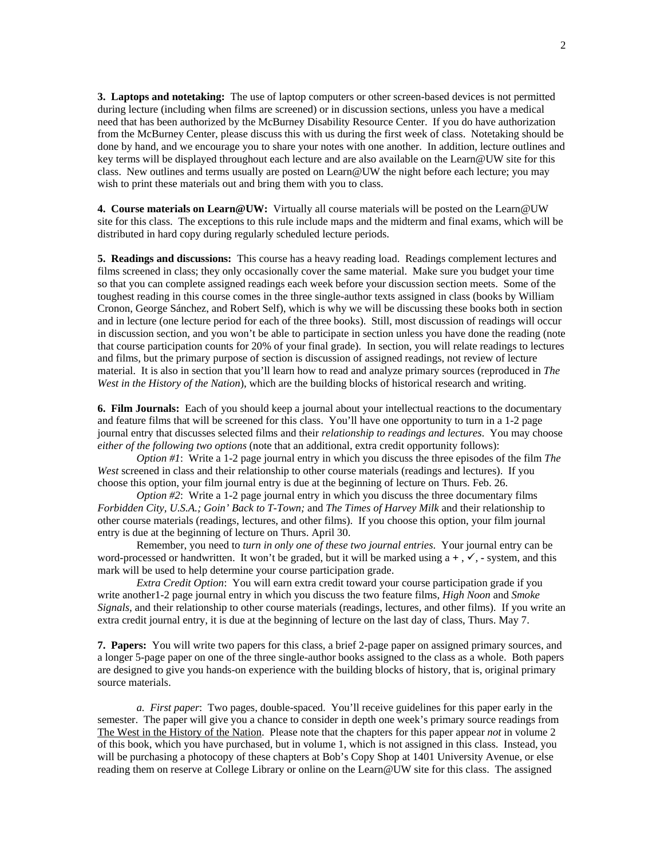**3. Laptops and notetaking:** The use of laptop computers or other screen-based devices is not permitted during lecture (including when films are screened) or in discussion sections, unless you have a medical need that has been authorized by the McBurney Disability Resource Center. If you do have authorization from the McBurney Center, please discuss this with us during the first week of class. Notetaking should be done by hand, and we encourage you to share your notes with one another. In addition, lecture outlines and key terms will be displayed throughout each lecture and are also available on the Learn@UW site for this class. New outlines and terms usually are posted on Learn@UW the night before each lecture; you may wish to print these materials out and bring them with you to class.

**4. Course materials on Learn@UW:** Virtually all course materials will be posted on the Learn@UW site for this class. The exceptions to this rule include maps and the midterm and final exams, which will be distributed in hard copy during regularly scheduled lecture periods.

**5. Readings and discussions:** This course has a heavy reading load. Readings complement lectures and films screened in class; they only occasionally cover the same material. Make sure you budget your time so that you can complete assigned readings each week before your discussion section meets. Some of the toughest reading in this course comes in the three single-author texts assigned in class (books by William Cronon, George Sánchez, and Robert Self), which is why we will be discussing these books both in section and in lecture (one lecture period for each of the three books). Still, most discussion of readings will occur in discussion section, and you won't be able to participate in section unless you have done the reading (note that course participation counts for 20% of your final grade). In section, you will relate readings to lectures and films, but the primary purpose of section is discussion of assigned readings, not review of lecture material. It is also in section that you'll learn how to read and analyze primary sources (reproduced in *The West in the History of the Nation*), which are the building blocks of historical research and writing.

**6. Film Journals:** Each of you should keep a journal about your intellectual reactions to the documentary and feature films that will be screened for this class. You'll have one opportunity to turn in a 1-2 page journal entry that discusses selected films and their *relationship to readings and lectures*. You may choose *either of the following two options* (note that an additional, extra credit opportunity follows):

*Option #1*: Write a 1-2 page journal entry in which you discuss the three episodes of the film *The West* screened in class and their relationship to other course materials (readings and lectures). If you choose this option, your film journal entry is due at the beginning of lecture on Thurs. Feb. 26.

*Option #2*: Write a 1-2 page journal entry in which you discuss the three documentary films *Forbidden City, U.S.A.; Goin' Back to T-Town;* and *The Times of Harvey Milk* and their relationship to other course materials (readings, lectures, and other films). If you choose this option, your film journal entry is due at the beginning of lecture on Thurs. April 30.

Remember, you need to *turn in only one of these two journal entries*. Your journal entry can be word-processed or handwritten. It won't be graded, but it will be marked using  $a +$ ,  $\checkmark$ , - system, and this mark will be used to help determine your course participation grade.

*Extra Credit Option*: You will earn extra credit toward your course participation grade if you write another1-2 page journal entry in which you discuss the two feature films, *High Noon* and *Smoke Signals*, and their relationship to other course materials (readings, lectures, and other films). If you write an extra credit journal entry, it is due at the beginning of lecture on the last day of class, Thurs. May 7.

**7. Papers:** You will write two papers for this class, a brief 2-page paper on assigned primary sources, and a longer 5-page paper on one of the three single-author books assigned to the class as a whole. Both papers are designed to give you hands-on experience with the building blocks of history, that is, original primary source materials.

*a. First paper*: Two pages, double-spaced. You'll receive guidelines for this paper early in the semester. The paper will give you a chance to consider in depth one week's primary source readings from The West in the History of the Nation. Please note that the chapters for this paper appear *not* in volume 2 of this book, which you have purchased, but in volume 1, which is not assigned in this class. Instead, you will be purchasing a photocopy of these chapters at Bob's Copy Shop at 1401 University Avenue, or else reading them on reserve at College Library or online on the Learn@UW site for this class. The assigned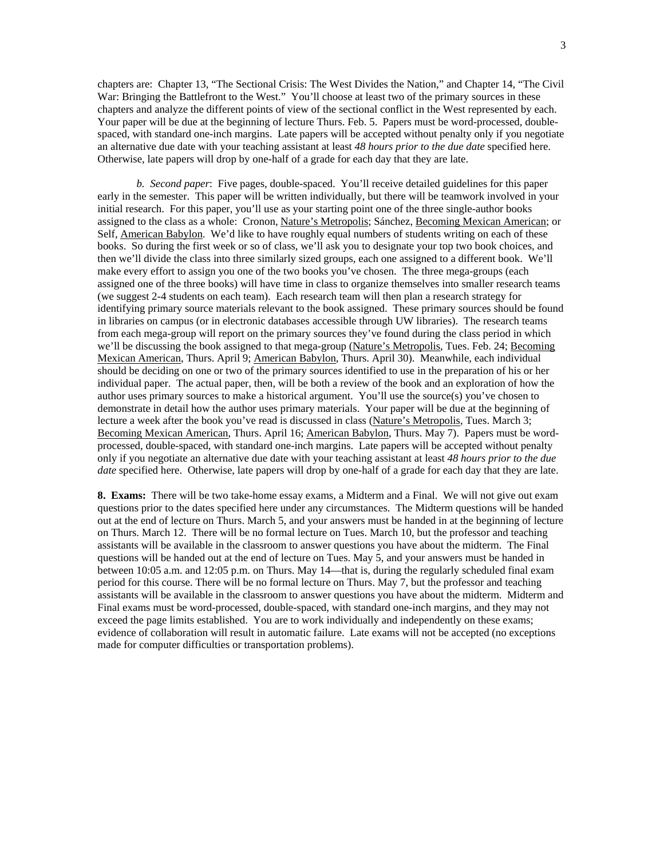chapters are: Chapter 13, "The Sectional Crisis: The West Divides the Nation," and Chapter 14, "The Civil War: Bringing the Battlefront to the West." You'll choose at least two of the primary sources in these chapters and analyze the different points of view of the sectional conflict in the West represented by each. Your paper will be due at the beginning of lecture Thurs. Feb. 5.Papers must be word-processed, doublespaced, with standard one-inch margins. Late papers will be accepted without penalty only if you negotiate an alternative due date with your teaching assistant at least *48 hours prior to the due date* specified here. Otherwise, late papers will drop by one-half of a grade for each day that they are late.

*b. Second paper*: Five pages, double-spaced. You'll receive detailed guidelines for this paper early in the semester. This paper will be written individually, but there will be teamwork involved in your initial research. For this paper, you'll use as your starting point one of the three single-author books assigned to the class as a whole: Cronon, Nature's Metropolis; Sánchez, Becoming Mexican American; or Self, American Babylon. We'd like to have roughly equal numbers of students writing on each of these books. So during the first week or so of class, we'll ask you to designate your top two book choices, and then we'll divide the class into three similarly sized groups, each one assigned to a different book. We'll make every effort to assign you one of the two books you've chosen. The three mega-groups (each assigned one of the three books) will have time in class to organize themselves into smaller research teams (we suggest 2-4 students on each team). Each research team will then plan a research strategy for identifying primary source materials relevant to the book assigned. These primary sources should be found in libraries on campus (or in electronic databases accessible through UW libraries). The research teams from each mega-group will report on the primary sources they've found during the class period in which we'll be discussing the book assigned to that mega-group (Nature's Metropolis, Tues. Feb. 24; Becoming Mexican American, Thurs. April 9; American Babylon, Thurs. April 30). Meanwhile, each individual should be deciding on one or two of the primary sources identified to use in the preparation of his or her individual paper. The actual paper, then, will be both a review of the book and an exploration of how the author uses primary sources to make a historical argument. You'll use the source(s) you've chosen to demonstrate in detail how the author uses primary materials. Your paper will be due at the beginning of lecture a week after the book you've read is discussed in class (Nature's Metropolis, Tues. March 3; Becoming Mexican American, Thurs. April 16; American Babylon, Thurs. May 7). Papers must be wordprocessed, double-spaced, with standard one-inch margins. Late papers will be accepted without penalty only if you negotiate an alternative due date with your teaching assistant at least *48 hours prior to the due date* specified here. Otherwise, late papers will drop by one-half of a grade for each day that they are late.

**8. Exams:** There will be two take-home essay exams, a Midterm and a Final. We will not give out exam questions prior to the dates specified here under any circumstances. The Midterm questions will be handed out at the end of lecture on Thurs. March 5, and your answers must be handed in at the beginning of lecture on Thurs. March 12. There will be no formal lecture on Tues. March 10, but the professor and teaching assistants will be available in the classroom to answer questions you have about the midterm. The Final questions will be handed out at the end of lecture on Tues. May 5, and your answers must be handed in between 10:05 a.m. and 12:05 p.m. on Thurs. May 14—that is, during the regularly scheduled final exam period for this course. There will be no formal lecture on Thurs. May 7, but the professor and teaching assistants will be available in the classroom to answer questions you have about the midterm. Midterm and Final exams must be word-processed, double-spaced, with standard one-inch margins, and they may not exceed the page limits established. You are to work individually and independently on these exams; evidence of collaboration will result in automatic failure. Late exams will not be accepted (no exceptions made for computer difficulties or transportation problems).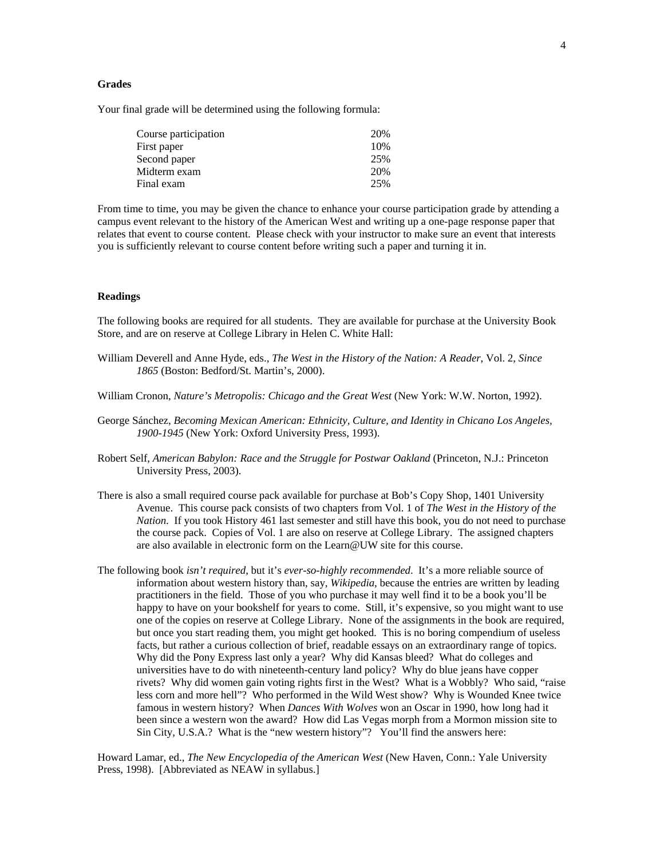## **Grades**

Your final grade will be determined using the following formula:

| Course participation | 20% |
|----------------------|-----|
| First paper          | 10% |
| Second paper         | 25% |
| Midterm exam         | 20% |
| Final exam           | 25% |

From time to time, you may be given the chance to enhance your course participation grade by attending a campus event relevant to the history of the American West and writing up a one-page response paper that relates that event to course content. Please check with your instructor to make sure an event that interests you is sufficiently relevant to course content before writing such a paper and turning it in.

#### **Readings**

The following books are required for all students. They are available for purchase at the University Book Store, and are on reserve at College Library in Helen C. White Hall:

- William Deverell and Anne Hyde, eds., *The West in the History of the Nation: A Reader*, Vol. 2, *Since 1865* (Boston: Bedford/St. Martin's, 2000).
- William Cronon, *Nature's Metropolis: Chicago and the Great West* (New York: W.W. Norton, 1992).
- George Sánchez, *Becoming Mexican American: Ethnicity, Culture, and Identity in Chicano Los Angeles, 1900-1945* (New York: Oxford University Press, 1993).
- [Robert Self,](http://www.amazon.com/exec/obidos/search-handle-url/105-9484756-6162860?%5Fencoding=UTF8&search-type=ss&index=books&field-author=Robert%20O.%20Self) *American Babylon: Race and the Struggle for Postwar Oakland* (Princeton, N.J.: Princeton University Press, 2003).
- There is also a small required course pack available for purchase at Bob's Copy Shop, 1401 University Avenue. This course pack consists of two chapters from Vol. 1 of *The West in the History of the Nation*. If you took History 461 last semester and still have this book, you do not need to purchase the course pack. Copies of Vol. 1 are also on reserve at College Library. The assigned chapters are also available in electronic form on the Learn@UW site for this course.
- The following book *isn't required*, but it's *ever-so-highly recommended*. It's a more reliable source of information about western history than, say, *Wikipedia*, because the entries are written by leading practitioners in the field. Those of you who purchase it may well find it to be a book you'll be happy to have on your bookshelf for years to come. Still, it's expensive, so you might want to use one of the copies on reserve at College Library. None of the assignments in the book are required, but once you start reading them, you might get hooked. This is no boring compendium of useless facts, but rather a curious collection of brief, readable essays on an extraordinary range of topics. Why did the Pony Express last only a year? Why did Kansas bleed? What do colleges and universities have to do with nineteenth-century land policy? Why do blue jeans have copper rivets? Why did women gain voting rights first in the West? What is a Wobbly? Who said, "raise less corn and more hell"? Who performed in the Wild West show? Why is Wounded Knee twice famous in western history? When *Dances With Wolves* won an Oscar in 1990, how long had it been since a western won the award? How did Las Vegas morph from a Mormon mission site to Sin City, U.S.A.? What is the "new western history"? You'll find the answers here:

Howard Lamar, ed., *The New Encyclopedia of the American West* (New Haven, Conn.: Yale University Press, 1998). [Abbreviated as NEAW in syllabus.]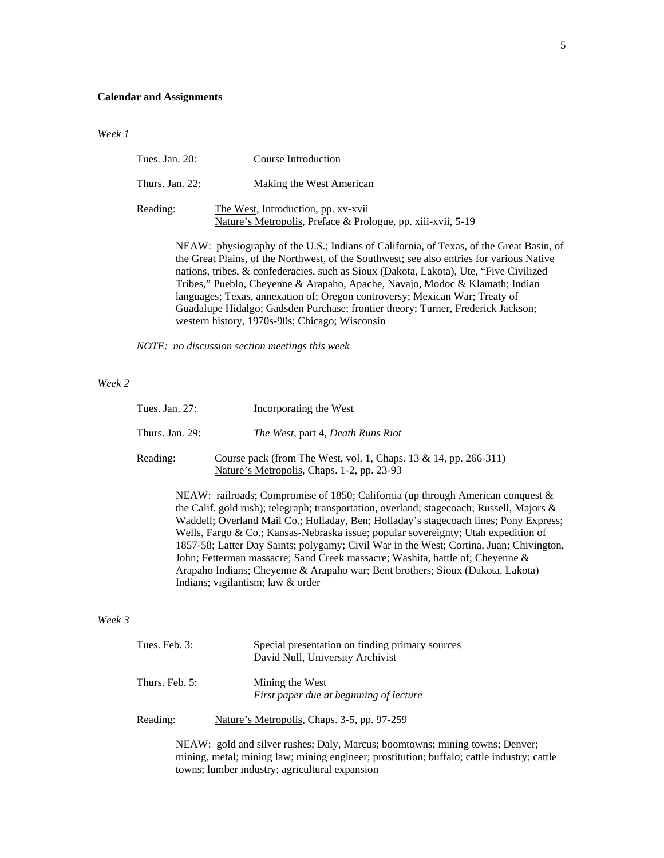#### **Calendar and Assignments**

*Week 1*

| Tues. Jan. 20:     | Course Introduction                                                                                 |
|--------------------|-----------------------------------------------------------------------------------------------------|
| Thurs. Jan. $22$ : | Making the West American                                                                            |
| Reading:           | The West, Introduction, pp. xv-xvii<br>Nature's Metropolis, Preface & Prologue, pp. xiii-xvii, 5-19 |

NEAW: physiography of the U.S.; Indians of California, of Texas, of the Great Basin, of the Great Plains, of the Northwest, of the Southwest; see also entries for various Native nations, tribes, & confederacies, such as Sioux (Dakota, Lakota), Ute, "Five Civilized Tribes," Pueblo, Cheyenne & Arapaho, Apache, Navajo, Modoc & Klamath; Indian languages; Texas, annexation of; Oregon controversy; Mexican War; Treaty of Guadalupe Hidalgo; Gadsden Purchase; frontier theory; Turner, Frederick Jackson; western history, 1970s-90s; Chicago; Wisconsin

*NOTE: no discussion section meetings this week*

#### *Week 2*

| Tues. Jan. 27:     | Incorporating the West                                                                                                                                                       |
|--------------------|------------------------------------------------------------------------------------------------------------------------------------------------------------------------------|
| Thurs. Jan. $29$ : | <i>The West, part 4, Death Runs Riot</i>                                                                                                                                     |
| Reading:           | Course pack (from The West, vol. 1, Chaps. 13 & 14, pp. 266-311)<br>Nature's Metropolis, Chaps. 1-2, pp. 23-93                                                               |
|                    | NEAW: railroads; Compromise of 1850; California (up through American conquest $\&$<br>the Calif cold rush); telegraph: transportation overland; stagecoach: Russell Majors & |

the Calif. gold rush); telegraph; transportation, overland; stagecoach; Russell, Majors & Waddell; Overland Mail Co.; Holladay, Ben; Holladay's stagecoach lines; Pony Express; Wells, Fargo & Co.; Kansas-Nebraska issue; popular sovereignty; Utah expedition of 1857-58; Latter Day Saints; polygamy; Civil War in the West; Cortina, Juan; Chivington, John; Fetterman massacre; Sand Creek massacre; Washita, battle of; Cheyenne & Arapaho Indians; Cheyenne & Arapaho war; Bent brothers; Sioux (Dakota, Lakota) Indians; vigilantism; law & order

## *Week 3*

| Tues. Feb. 3:    | Special presentation on finding primary sources<br>David Null, University Archivist |  |
|------------------|-------------------------------------------------------------------------------------|--|
| Thurs. Feb. $5:$ | Mining the West<br>First paper due at beginning of lecture                          |  |
| Reading:         | Nature's Metropolis, Chaps. 3-5, pp. 97-259                                         |  |

NEAW: gold and silver rushes; Daly, Marcus; boomtowns; mining towns; Denver; mining, metal; mining law; mining engineer; prostitution; buffalo; cattle industry; cattle towns; lumber industry; agricultural expansion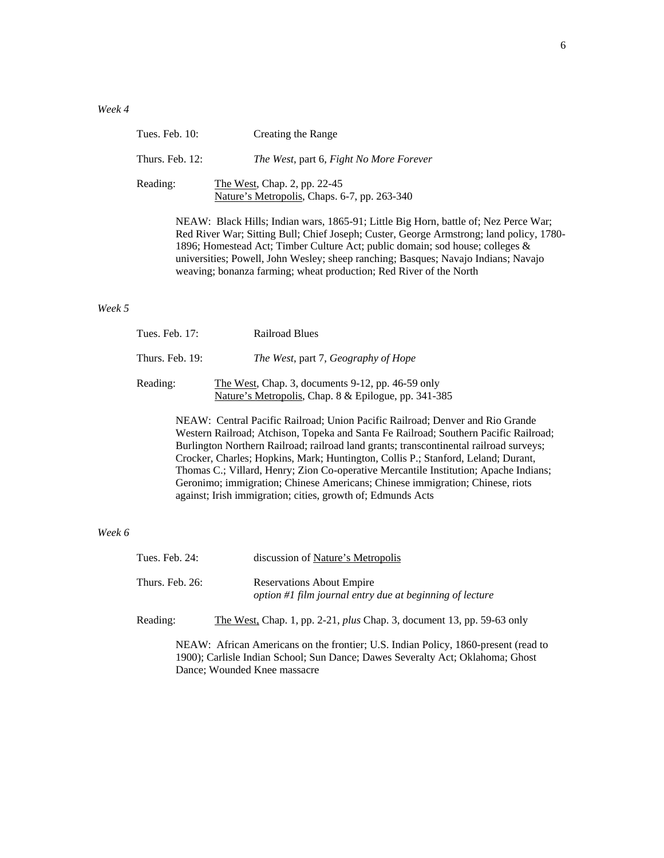| Tues. Feb. $10$ : | Creating the Range                                                                                                                                                                                                                                                       |
|-------------------|--------------------------------------------------------------------------------------------------------------------------------------------------------------------------------------------------------------------------------------------------------------------------|
| Thurs. Feb. 12:   | The West, part 6, Fight No More Forever                                                                                                                                                                                                                                  |
| Reading:          | The West, Chap. 2, pp. 22-45<br>Nature's Metropolis, Chaps. 6-7, pp. 263-340                                                                                                                                                                                             |
|                   | NEAW: Black Hills; Indian wars, 1865-91; Little Big Horn, battle of; Nez Perce War;<br>Red River War; Sitting Bull; Chief Joseph; Custer, George Armstrong; land policy, 1780-<br>$1000.$ Henceford, Ant. Timber Culture, Ant. millie demoins and leasers and reasonable |

1896; Homestead Act; Timber Culture Act; public domain; sod house; colleges & universities; Powell, John Wesley; sheep ranching; Basques; Navajo Indians; Navajo weaving; bonanza farming; wheat production; Red River of the North

#### *Week 5*

| Tues. Feb. 17:  | <b>Railroad Blues</b>                                                                                     |
|-----------------|-----------------------------------------------------------------------------------------------------------|
| Thurs. Feb. 19: | <i>The West, part 7, Geography of Hope</i>                                                                |
| Reading:        | The West, Chap. 3, documents 9-12, pp. 46-59 only<br>Nature's Metropolis, Chap. 8 & Epilogue, pp. 341-385 |

NEAW: Central Pacific Railroad; Union Pacific Railroad; Denver and Rio Grande Western Railroad; Atchison, Topeka and Santa Fe Railroad; Southern Pacific Railroad; Burlington Northern Railroad; railroad land grants; transcontinental railroad surveys; Crocker, Charles; Hopkins, Mark; Huntington, Collis P.; Stanford, Leland; Durant, Thomas C.; Villard, Henry; Zion Co-operative Mercantile Institution; Apache Indians; Geronimo; immigration; Chinese Americans; Chinese immigration; Chinese, riots against; Irish immigration; cities, growth of; Edmunds Acts

#### *Week 6*

| Tues. Feb. 24:  | discussion of <u>Nature's Metropolis</u>                                                     |
|-----------------|----------------------------------------------------------------------------------------------|
| Thurs. Feb. 26: | <b>Reservations About Empire</b><br>option #1 film journal entry due at beginning of lecture |
| Reading:        | The West, Chap. 1, pp. 2-21, <i>plus</i> Chap. 3, document 13, pp. 59-63 only                |
|                 |                                                                                              |

NEAW: African Americans on the frontier; U.S. Indian Policy, 1860-present (read to 1900); Carlisle Indian School; Sun Dance; Dawes Severalty Act; Oklahoma; Ghost Dance; Wounded Knee massacre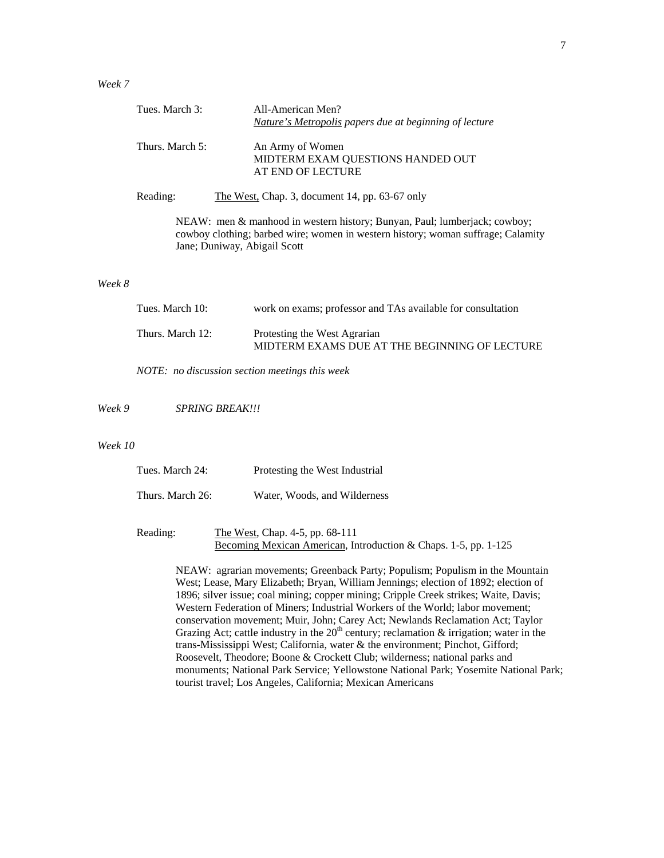| Tues. March 3:  | All-American Men?                                                                                                                                                                             |
|-----------------|-----------------------------------------------------------------------------------------------------------------------------------------------------------------------------------------------|
|                 | <u>Nature's Metropolis</u> papers due at beginning of lecture                                                                                                                                 |
| Thurs. March 5: | An Army of Women<br>MIDTERM EXAM QUESTIONS HANDED OUT<br>AT END OF LECTURE                                                                                                                    |
| Reading:        | The West, Chap. 3, document 14, pp. $63-67$ only                                                                                                                                              |
|                 | NEAW: men & manhood in western history; Bunyan, Paul; lumberjack; cowboy;<br>cowboy clothing; barbed wire; women in western history; woman suffrage; Calamity<br>Jane; Duniway, Abigail Scott |
|                 |                                                                                                                                                                                               |

## *Week 8*

| Tues. March 10:  | work on exams; professor and TAs available for consultation                   |
|------------------|-------------------------------------------------------------------------------|
| Thurs. March 12: | Protesting the West Agrarian<br>MIDTERM EXAMS DUE AT THE BEGINNING OF LECTURE |

*NOTE: no discussion section meetings this week* 

*Week 9 SPRING BREAK!!!* 

#### *Week 10*

| Tues. March 24:  | Protesting the West Industrial |
|------------------|--------------------------------|
| Thurs. March 26: | Water, Woods, and Wilderness   |

Reading: The West, Chap. 4-5, pp. 68-111 Becoming Mexican American, Introduction & Chaps. 1-5, pp. 1-125

> NEAW: agrarian movements; Greenback Party; Populism; Populism in the Mountain West; Lease, Mary Elizabeth; Bryan, William Jennings; election of 1892; election of 1896; silver issue; coal mining; copper mining; Cripple Creek strikes; Waite, Davis; Western Federation of Miners; Industrial Workers of the World; labor movement; conservation movement; Muir, John; Carey Act; Newlands Reclamation Act; Taylor Grazing Act; cattle industry in the  $20<sup>th</sup>$  century; reclamation & irrigation; water in the trans-Mississippi West; California, water & the environment; Pinchot, Gifford; Roosevelt, Theodore; Boone & Crockett Club; wilderness; national parks and monuments; National Park Service; Yellowstone National Park; Yosemite National Park; tourist travel; Los Angeles, California; Mexican Americans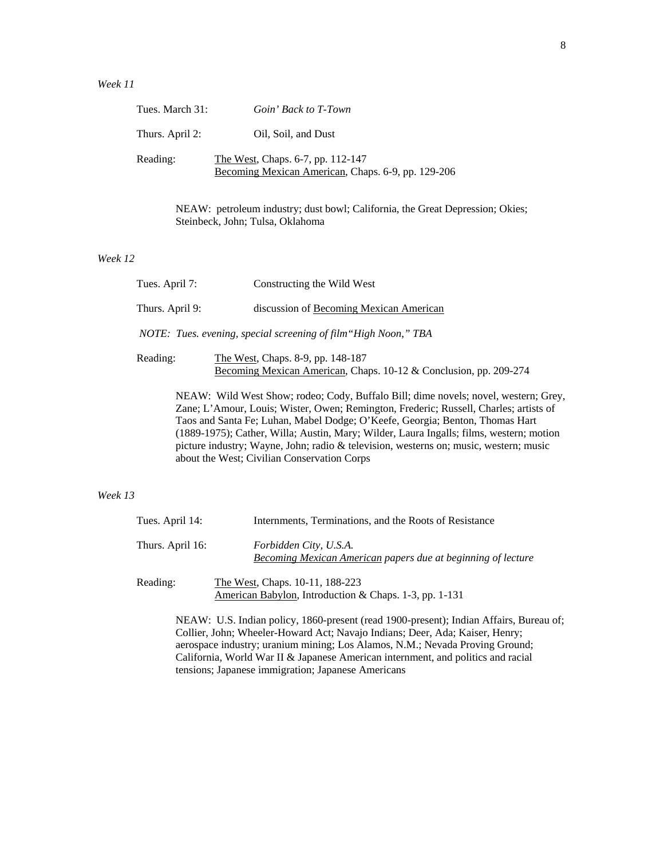## *Week 11*

| Tues. March 31: | Goin' Back to T-Town                                                                    |
|-----------------|-----------------------------------------------------------------------------------------|
| Thurs. April 2: | Oil, Soil, and Dust                                                                     |
| Reading:        | The West, Chaps. 6-7, pp. 112-147<br>Becoming Mexican American, Chaps. 6-9, pp. 129-206 |

NEAW: petroleum industry; dust bowl; California, the Great Depression; Okies; Steinbeck, John; Tulsa, Oklahoma

## *Week 12*

| Tues. April 7:                                                  | Constructing the Wild West                                                                             |
|-----------------------------------------------------------------|--------------------------------------------------------------------------------------------------------|
| Thurs. April 9:                                                 | discussion of Becoming Mexican American                                                                |
| NOTE: Tues. evening, special screening of film "High Noon," TBA |                                                                                                        |
| Reading:                                                        | The West, Chaps. 8-9, pp. 148-187<br>Becoming Mexican American, Chaps. 10-12 & Conclusion, pp. 209-274 |

NEAW: Wild West Show; rodeo; Cody, Buffalo Bill; dime novels; novel, western; Grey, Zane; L'Amour, Louis; Wister, Owen; Remington, Frederic; Russell, Charles; artists of Taos and Santa Fe; Luhan, Mabel Dodge; O'Keefe, Georgia; Benton, Thomas Hart (1889-1975); Cather, Willa; Austin, Mary; Wilder, Laura Ingalls; films, western; motion picture industry; Wayne, John; radio & television, westerns on; music, western; music about the West; Civilian Conservation Corps

#### *Week 13*

| Tues. April 14:  | Internments, Terminations, and the Roots of Resistance                                                |
|------------------|-------------------------------------------------------------------------------------------------------|
| Thurs. April 16: | Forbidden City, U.S.A.<br><b>Becoming Mexican American papers due at beginning of lecture</b>         |
| Reading:         | The West, Chaps. 10-11, 188-223<br>American Babylon, Introduction & Chaps. 1-3, pp. 1-131             |
|                  | $\overline{\text{MEAM}}$ . II.S. Indian policy 1860 prosent (road 1000 prosent). Indian Affairs, Burg |

NEAW: U.S. Indian policy, 1860-present (read 1900-present); Indian Affairs, Bureau of; Collier, John; Wheeler-Howard Act; Navajo Indians; Deer, Ada; Kaiser, Henry; aerospace industry; uranium mining; Los Alamos, N.M.; Nevada Proving Ground; California, World War II & Japanese American internment, and politics and racial tensions; Japanese immigration; Japanese Americans